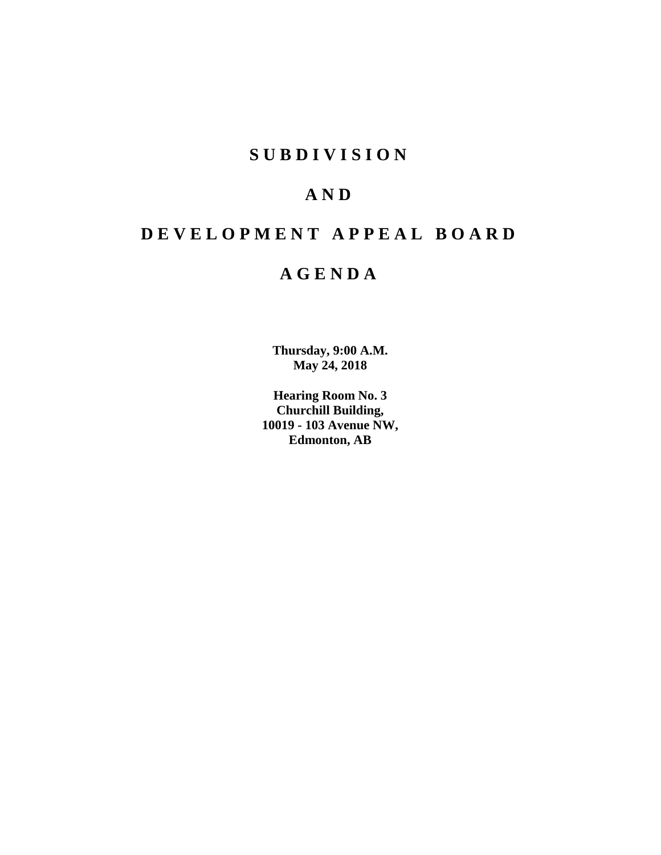# **S U B D I V I S I O N**

# **A N D**

# **D E V E L O P M E N T A P P E A L B O A R D**

# **A G E N D A**

**Thursday, 9:00 A.M. May 24, 2018**

**Hearing Room No. 3 Churchill Building, 10019 - 103 Avenue NW, Edmonton, AB**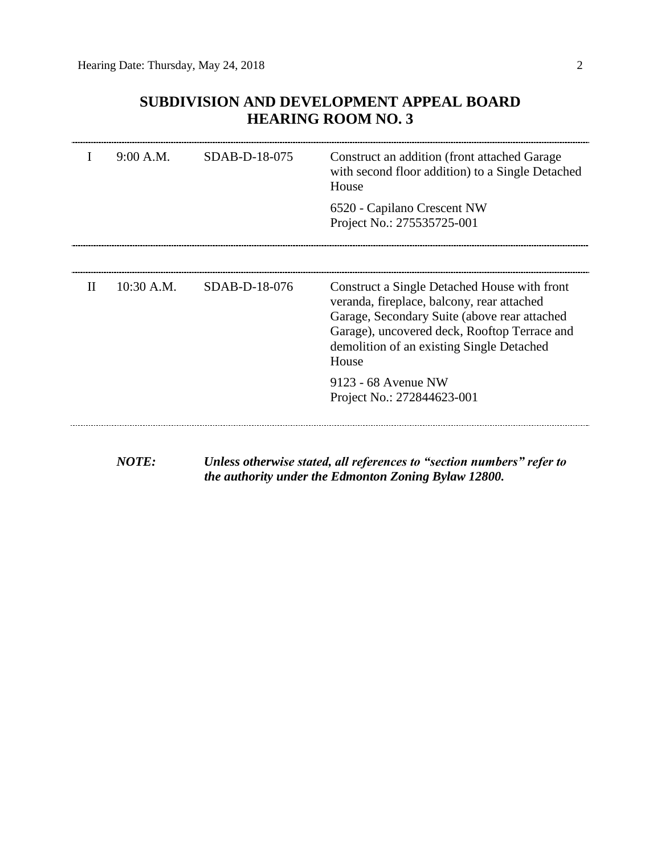# **SUBDIVISION AND DEVELOPMENT APPEAL BOARD HEARING ROOM NO. 3**

|              | 9:00 A.M.    | $SDAB-D-18-075$ | Construct an addition (front attached Garage<br>with second floor addition) to a Single Detached<br>House                                                                                                                                        |
|--------------|--------------|-----------------|--------------------------------------------------------------------------------------------------------------------------------------------------------------------------------------------------------------------------------------------------|
|              |              |                 | 6520 - Capilano Crescent NW<br>Project No.: 275535725-001                                                                                                                                                                                        |
|              |              |                 |                                                                                                                                                                                                                                                  |
| $\mathbf{H}$ | $10:30$ A.M. | SDAB-D-18-076   | Construct a Single Detached House with front<br>veranda, fireplace, balcony, rear attached<br>Garage, Secondary Suite (above rear attached<br>Garage), uncovered deck, Rooftop Terrace and<br>demolition of an existing Single Detached<br>House |
|              |              |                 | 9123 - 68 Avenue NW<br>Project No.: 272844623-001                                                                                                                                                                                                |
|              |              |                 |                                                                                                                                                                                                                                                  |

*NOTE: Unless otherwise stated, all references to "section numbers" refer to the authority under the Edmonton Zoning Bylaw 12800.*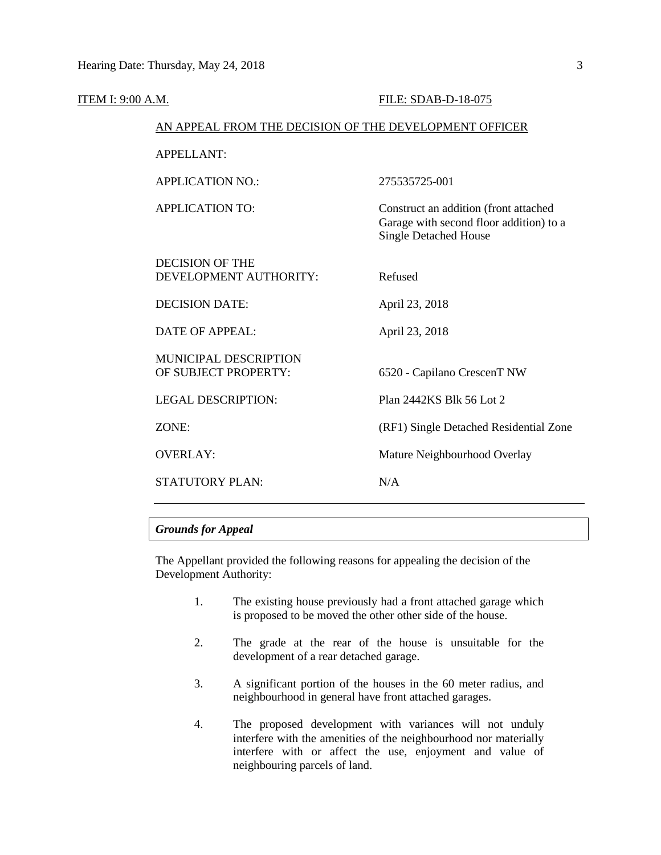| ITEM I: 9:00 A.M. |                                                        | FILE: SDAB-D-18-075                                                                                              |
|-------------------|--------------------------------------------------------|------------------------------------------------------------------------------------------------------------------|
|                   | AN APPEAL FROM THE DECISION OF THE DEVELOPMENT OFFICER |                                                                                                                  |
|                   | <b>APPELLANT:</b>                                      |                                                                                                                  |
|                   | <b>APPLICATION NO.:</b>                                | 275535725-001                                                                                                    |
|                   | <b>APPLICATION TO:</b>                                 | Construct an addition (front attached<br>Garage with second floor addition) to a<br><b>Single Detached House</b> |
|                   | <b>DECISION OF THE</b><br>DEVELOPMENT AUTHORITY:       | Refused                                                                                                          |
|                   | <b>DECISION DATE:</b>                                  | April 23, 2018                                                                                                   |
|                   | <b>DATE OF APPEAL:</b>                                 | April 23, 2018                                                                                                   |
|                   | MUNICIPAL DESCRIPTION<br>OF SUBJECT PROPERTY:          | 6520 - Capilano CrescenT NW                                                                                      |
|                   | <b>LEGAL DESCRIPTION:</b>                              | Plan 2442KS Blk 56 Lot 2                                                                                         |
|                   | ZONE:                                                  | (RF1) Single Detached Residential Zone                                                                           |
|                   | <b>OVERLAY:</b>                                        | Mature Neighbourhood Overlay                                                                                     |
|                   | STATUTORY PLAN:                                        | N/A                                                                                                              |
|                   |                                                        |                                                                                                                  |

# *Grounds for Appeal*

The Appellant provided the following reasons for appealing the decision of the Development Authority:

- 1. The existing house previously had a front attached garage which is proposed to be moved the other other side of the house.
- 2. The grade at the rear of the house is unsuitable for the development of a rear detached garage.
- 3. A significant portion of the houses in the 60 meter radius, and neighbourhood in general have front attached garages.
- 4. The proposed development with variances will not unduly interfere with the amenities of the neighbourhood nor materially interfere with or affect the use, enjoyment and value of neighbouring parcels of land.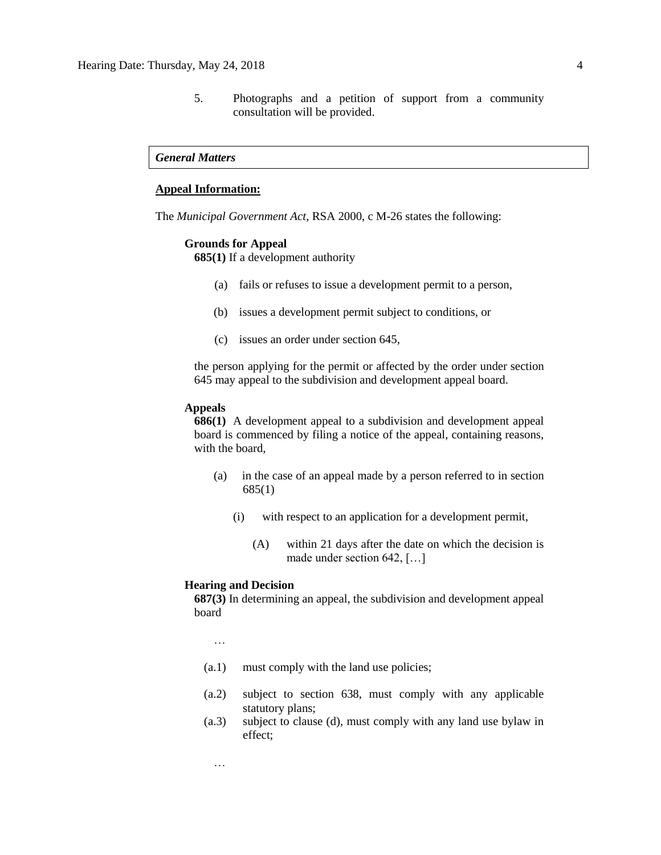5. Photographs and a petition of support from a community consultation will be provided.

## *General Matters*

# **Appeal Information:**

The *Municipal Government Act*, RSA 2000, c M-26 states the following:

### **Grounds for Appeal**

**685(1)** If a development authority

- (a) fails or refuses to issue a development permit to a person,
- (b) issues a development permit subject to conditions, or
- (c) issues an order under section 645,

the person applying for the permit or affected by the order under section 645 may appeal to the subdivision and development appeal board.

### **Appeals**

**686(1)** A development appeal to a subdivision and development appeal board is commenced by filing a notice of the appeal, containing reasons, with the board,

- (a) in the case of an appeal made by a person referred to in section 685(1)
	- (i) with respect to an application for a development permit,
		- (A) within 21 days after the date on which the decision is made under section 642, […]

### **Hearing and Decision**

**687(3)** In determining an appeal, the subdivision and development appeal board

…

- (a.1) must comply with the land use policies;
- (a.2) subject to section 638, must comply with any applicable statutory plans;
- (a.3) subject to clause (d), must comply with any land use bylaw in effect;

…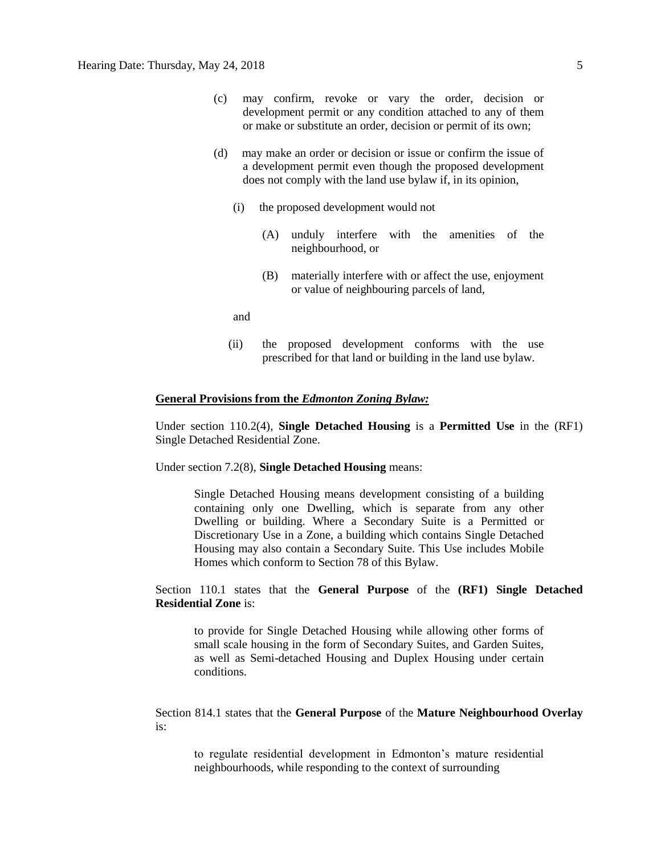- (c) may confirm, revoke or vary the order, decision or development permit or any condition attached to any of them or make or substitute an order, decision or permit of its own;
- (d) may make an order or decision or issue or confirm the issue of a development permit even though the proposed development does not comply with the land use bylaw if, in its opinion,
	- (i) the proposed development would not
		- (A) unduly interfere with the amenities of the neighbourhood, or
		- (B) materially interfere with or affect the use, enjoyment or value of neighbouring parcels of land,

and

(ii) the proposed development conforms with the use prescribed for that land or building in the land use bylaw.

### **General Provisions from the** *Edmonton Zoning Bylaw:*

Under section 110.2(4), **Single Detached Housing** is a **Permitted Use** in the (RF1) Single Detached Residential Zone.

Under section 7.2(8), **Single Detached Housing** means:

Single Detached Housing means development consisting of a building containing only one Dwelling, which is separate from any other Dwelling or building. Where a Secondary Suite is a Permitted or Discretionary Use in a Zone, a building which contains Single Detached Housing may also contain a Secondary Suite. This Use includes Mobile Homes which conform to Section 78 of this Bylaw.

Section 110.1 states that the **General Purpose** of the **(RF1) Single Detached Residential Zone** is:

to provide for Single Detached Housing while allowing other forms of small scale housing in the form of Secondary Suites, and Garden Suites, as well as Semi-detached Housing and Duplex Housing under certain conditions.

Section 814.1 states that the **General Purpose** of the **Mature Neighbourhood Overlay** is:

to regulate residential development in Edmonton's mature residential neighbourhoods, while responding to the context of surrounding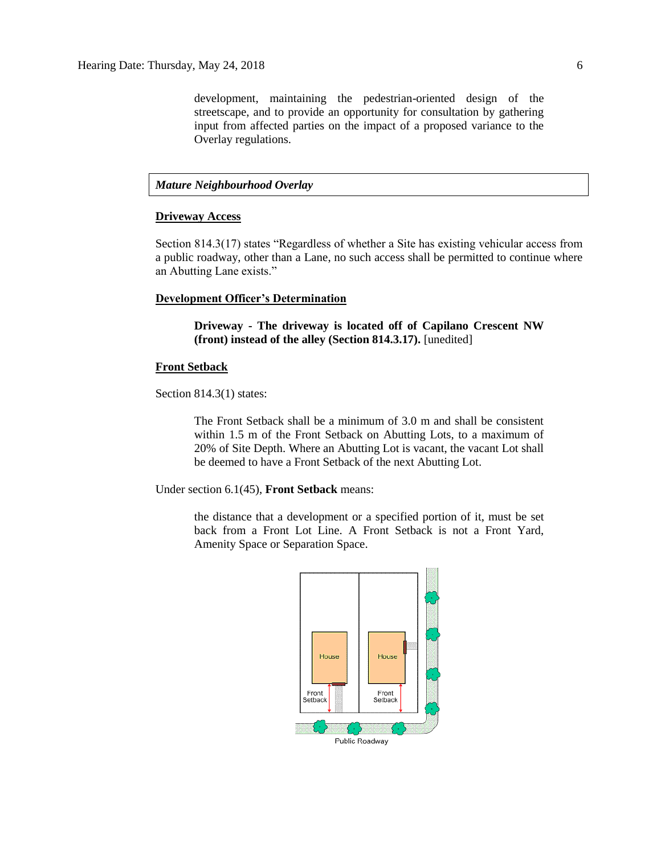development, maintaining the pedestrian-oriented design of the streetscape, and to provide an opportunity for consultation by gathering input from affected parties on the impact of a proposed variance to the Overlay regulations.

# *Mature Neighbourhood Overlay*

#### **Driveway Access**

Section 814.3(17) states "Regardless of whether a Site has existing vehicular access from a public roadway, other than a Lane, no such access shall be permitted to continue where an Abutting Lane exists."

### **Development Officer's Determination**

**Driveway - The driveway is located off of Capilano Crescent NW (front) instead of the alley (Section 814.3.17).** [unedited]

### **Front Setback**

Section 814.3(1) states:

The Front Setback shall be a minimum of 3.0 m and shall be consistent within 1.5 m of the Front Setback on Abutting Lots, to a maximum of 20% of Site Depth. Where an Abutting Lot is vacant, the vacant Lot shall be deemed to have a Front Setback of the next Abutting Lot.

Under section 6.1(45), **Front Setback** means:

the distance that a development or a specified portion of it, must be set back from a Front Lot Line. A Front Setback is not a Front Yard, Amenity Space or Separation Space.

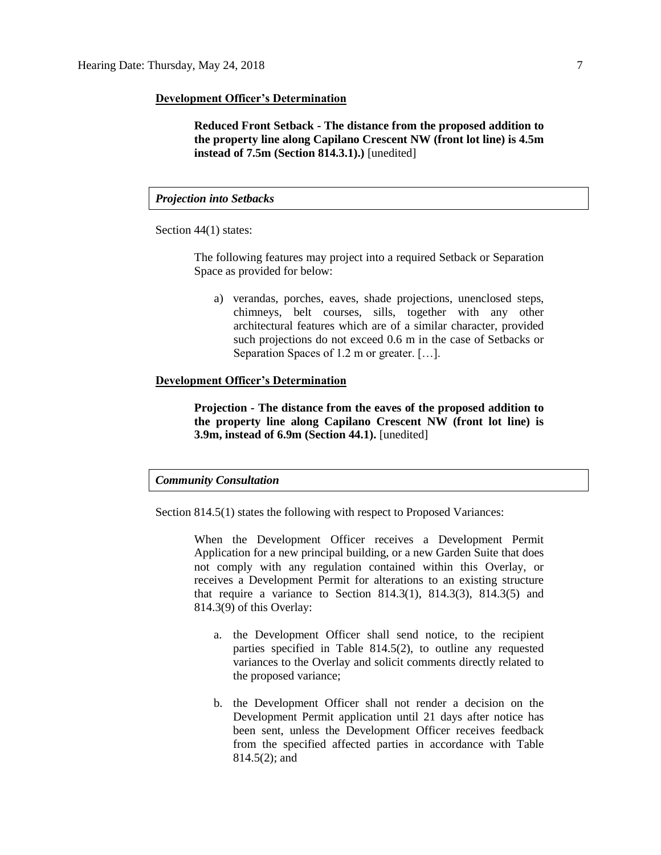### **Development Officer's Determination**

**Reduced Front Setback - The distance from the proposed addition to the property line along Capilano Crescent NW (front lot line) is 4.5m instead of 7.5m (Section 814.3.1).)** [unedited]

*Projection into Setbacks*

Section 44(1) states:

The following features may project into a required Setback or Separation Space as provided for below:

a) verandas, porches, eaves, shade projections, unenclosed steps, chimneys, belt courses, sills, together with any other architectural features which are of a similar character, provided such projections do not exceed 0.6 m in the case of Setbacks or Separation Spaces of 1.2 m or greater. […].

### **Development Officer's Determination**

**Projection - The distance from the eaves of the proposed addition to the property line along Capilano Crescent NW (front lot line) is 3.9m, instead of 6.9m (Section 44.1).** [unedited]

# *Community Consultation*

Section 814.5(1) states the following with respect to Proposed Variances:

When the Development Officer receives a Development Permit Application for a new principal building, or a new Garden Suite that does not comply with any regulation contained within this Overlay, or receives a Development Permit for alterations to an existing structure that require a variance to Section 814.3(1), 814.3(3), 814.3(5) and 814.3(9) of this Overlay:

- a. the Development Officer shall send notice, to the recipient parties specified in Table 814.5(2), to outline any requested variances to the Overlay and solicit comments directly related to the proposed variance;
- b. the Development Officer shall not render a decision on the Development Permit application until 21 days after notice has been sent, unless the Development Officer receives feedback from the specified affected parties in accordance with Table 814.5(2); and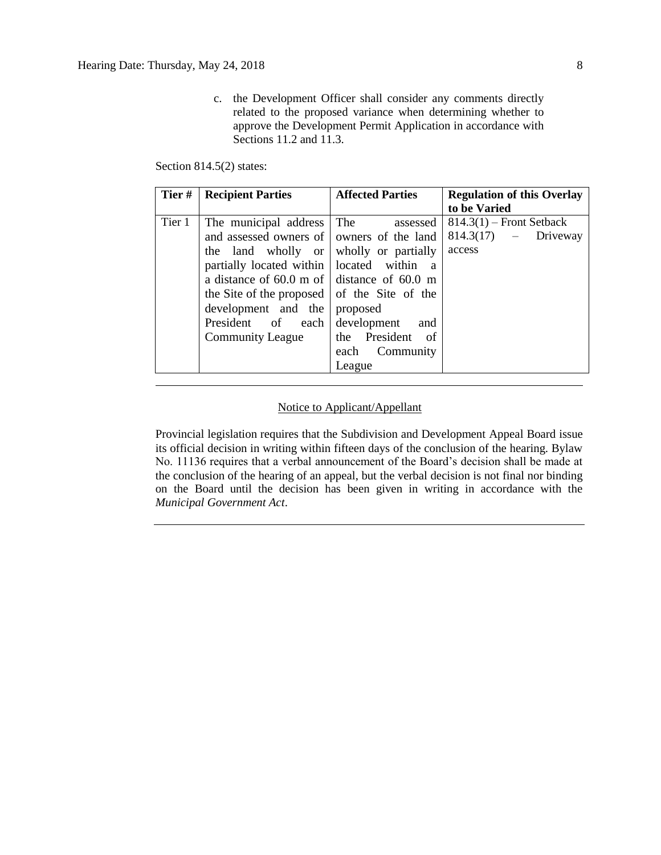c. the Development Officer shall consider any comments directly related to the proposed variance when determining whether to approve the Development Permit Application in accordance with Sections 11.2 and 11.3.

Section 814.5(2) states:

| Tier#  | <b>Recipient Parties</b>                                                                                                                                                                                                                                                                                                                                   | <b>Affected Parties</b>                                                                | <b>Regulation of this Overlay</b><br>to be Varied              |  |
|--------|------------------------------------------------------------------------------------------------------------------------------------------------------------------------------------------------------------------------------------------------------------------------------------------------------------------------------------------------------------|----------------------------------------------------------------------------------------|----------------------------------------------------------------|--|
| Tier 1 | The municipal address<br>and assessed owners of owners of the land<br>the land wholly or wholly or partially<br>partially located within   located within<br>a distance of 60.0 m of distance of 60.0 m<br>the Site of the proposed $\vert$ of the Site of the<br>development and the proposed<br>President of each development<br><b>Community League</b> | The<br>assessed<br><sub>a</sub><br>and<br>the President of<br>each Community<br>League | $814.3(1)$ – Front Setback<br>$814.3(17)$ - Driveway<br>access |  |

# Notice to Applicant/Appellant

Provincial legislation requires that the Subdivision and Development Appeal Board issue its official decision in writing within fifteen days of the conclusion of the hearing. Bylaw No. 11136 requires that a verbal announcement of the Board's decision shall be made at the conclusion of the hearing of an appeal, but the verbal decision is not final nor binding on the Board until the decision has been given in writing in accordance with the *Municipal Government Act*.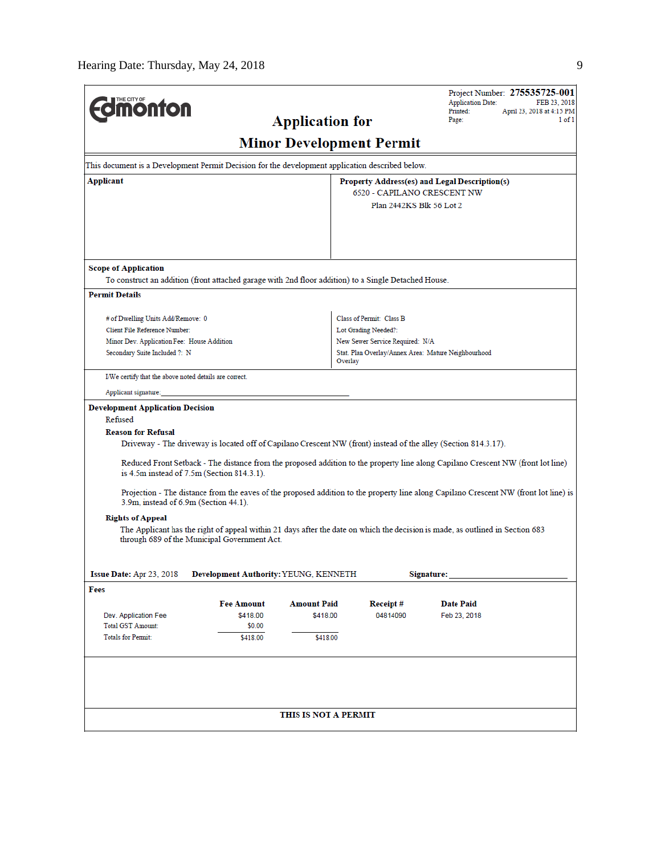| <b><i><u><u><b>MONTON</b></u></u></i></b>                                                       |                                                                                                                 | <b>Application for</b>          |                                 | Project Number: 275535725-001<br><b>Application Date:</b><br>FEB 23, 2018<br>Printed:<br>April 23, 2018 at 4:15 PM<br>1 of 1<br>Page: |  |  |  |
|-------------------------------------------------------------------------------------------------|-----------------------------------------------------------------------------------------------------------------|---------------------------------|---------------------------------|---------------------------------------------------------------------------------------------------------------------------------------|--|--|--|
|                                                                                                 |                                                                                                                 | <b>Minor Development Permit</b> |                                 |                                                                                                                                       |  |  |  |
| This document is a Development Permit Decision for the development application described below. |                                                                                                                 |                                 |                                 |                                                                                                                                       |  |  |  |
| Applicant                                                                                       | Property Address(es) and Legal Description(s)                                                                   |                                 |                                 |                                                                                                                                       |  |  |  |
|                                                                                                 |                                                                                                                 |                                 | 6520 - CAPILANO CRESCENT NW     |                                                                                                                                       |  |  |  |
|                                                                                                 |                                                                                                                 |                                 | Plan 2442KS Blk 56 Lot 2        |                                                                                                                                       |  |  |  |
| <b>Scope of Application</b>                                                                     |                                                                                                                 |                                 |                                 |                                                                                                                                       |  |  |  |
|                                                                                                 | To construct an addition (front attached garage with 2nd floor addition) to a Single Detached House.            |                                 |                                 |                                                                                                                                       |  |  |  |
| <b>Permit Details</b>                                                                           |                                                                                                                 |                                 |                                 |                                                                                                                                       |  |  |  |
|                                                                                                 |                                                                                                                 |                                 |                                 |                                                                                                                                       |  |  |  |
| # of Dwelling Units Add/Remove: 0                                                               |                                                                                                                 |                                 | Class of Permit: Class B        |                                                                                                                                       |  |  |  |
| Client File Reference Number:                                                                   |                                                                                                                 |                                 | Lot Grading Needed?:            |                                                                                                                                       |  |  |  |
| Minor Dev. Application Fee: House Addition<br>Secondary Suite Included ?: N                     |                                                                                                                 |                                 | New Sewer Service Required: N/A | Stat. Plan Overlay/Annex Area: Mature Neighbourhood                                                                                   |  |  |  |
|                                                                                                 |                                                                                                                 | Overlay                         |                                 |                                                                                                                                       |  |  |  |
| I/We certify that the above noted details are correct.                                          |                                                                                                                 |                                 |                                 |                                                                                                                                       |  |  |  |
| Applicant signature:                                                                            |                                                                                                                 |                                 |                                 |                                                                                                                                       |  |  |  |
| <b>Development Application Decision</b>                                                         |                                                                                                                 |                                 |                                 |                                                                                                                                       |  |  |  |
| Refused                                                                                         |                                                                                                                 |                                 |                                 |                                                                                                                                       |  |  |  |
| <b>Reason for Refusal</b>                                                                       |                                                                                                                 |                                 |                                 |                                                                                                                                       |  |  |  |
|                                                                                                 | Driveway - The driveway is located off of Capilano Crescent NW (front) instead of the alley (Section 814.3.17). |                                 |                                 |                                                                                                                                       |  |  |  |
|                                                                                                 | is 4.5m instead of 7.5m (Section 814.3.1).                                                                      |                                 |                                 | Reduced Front Setback - The distance from the proposed addition to the property line along Capilano Crescent NW (front lot line)      |  |  |  |
| 3.9m, instead of 6.9m (Section 44.1).                                                           |                                                                                                                 |                                 |                                 | Projection - The distance from the eaves of the proposed addition to the property line along Capilano Crescent NW (front lot line) is |  |  |  |
| <b>Rights of Appeal</b>                                                                         |                                                                                                                 |                                 |                                 |                                                                                                                                       |  |  |  |
|                                                                                                 | through 689 of the Municipal Government Act.                                                                    |                                 |                                 | The Applicant has the right of appeal within 21 days after the date on which the decision is made, as outlined in Section 683         |  |  |  |
| Issue Date: Apr 23, 2018                                                                        | Development Authority: YEUNG, KENNETH                                                                           |                                 |                                 | Signature:                                                                                                                            |  |  |  |
| Fees                                                                                            |                                                                                                                 |                                 |                                 |                                                                                                                                       |  |  |  |
|                                                                                                 | <b>Fee Amount</b>                                                                                               | <b>Amount Paid</b>              | Receipt#                        | <b>Date Paid</b>                                                                                                                      |  |  |  |
| Dev. Application Fee                                                                            | \$418.00                                                                                                        | \$418.00                        | 04814090                        | Feb 23, 2018                                                                                                                          |  |  |  |
| <b>Total GST Amount:</b>                                                                        | \$0.00                                                                                                          |                                 |                                 |                                                                                                                                       |  |  |  |
| <b>Totals for Permit:</b>                                                                       | \$418.00                                                                                                        | \$418.00                        |                                 |                                                                                                                                       |  |  |  |
|                                                                                                 |                                                                                                                 |                                 |                                 |                                                                                                                                       |  |  |  |
|                                                                                                 |                                                                                                                 | THIS IS NOT A PERMIT            |                                 |                                                                                                                                       |  |  |  |
|                                                                                                 |                                                                                                                 |                                 |                                 |                                                                                                                                       |  |  |  |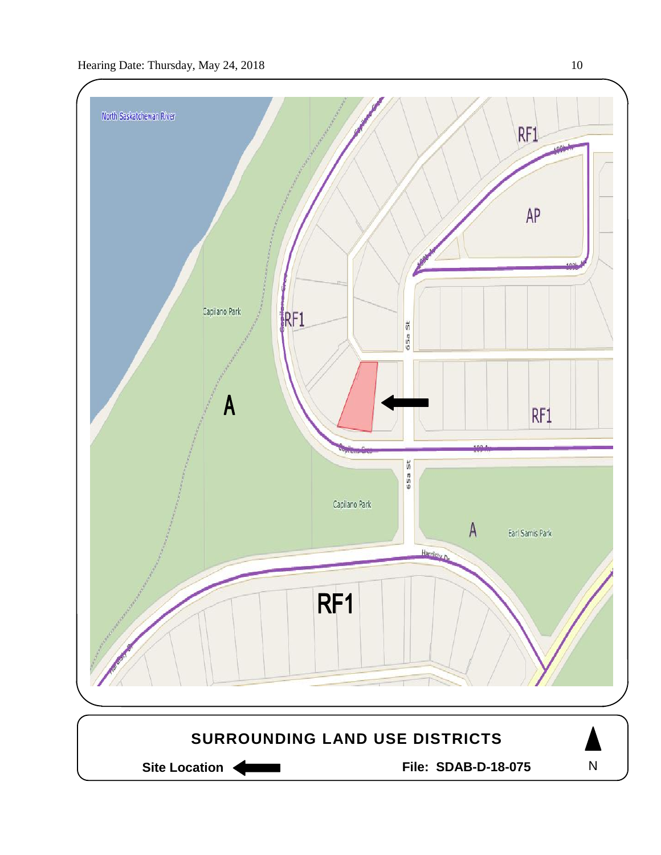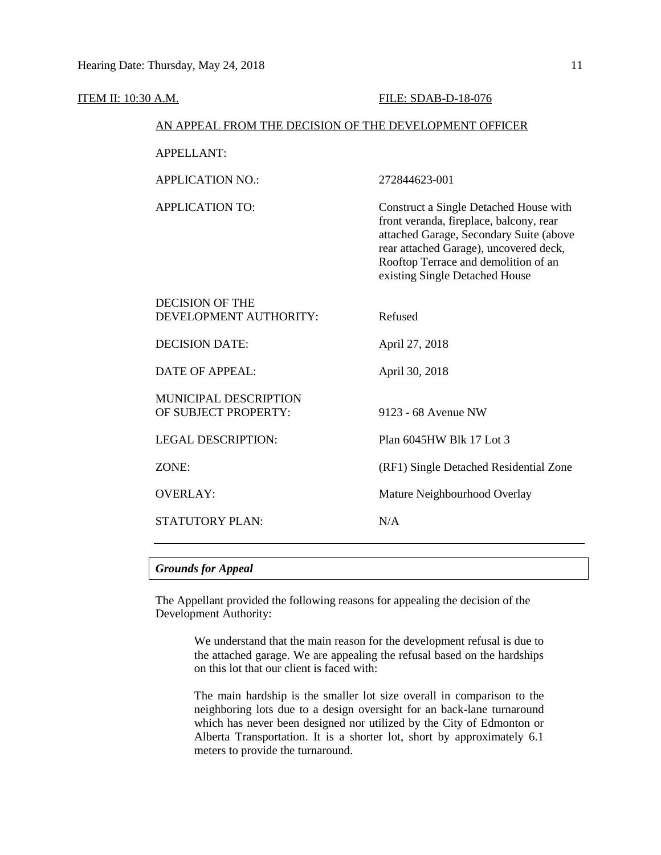# ITEM II: 10:30 A.M. FILE: SDAB-D-18-076 AN APPEAL FROM THE DECISION OF THE DEVELOPMENT OFFICER APPELLANT: APPLICATION NO.: 272844623-001 APPLICATION TO: Construct a Single Detached House with front veranda, fireplace, balcony, rear attached Garage, Secondary Suite (above rear attached Garage), uncovered deck, Rooftop Terrace and demolition of an existing Single Detached House DECISION OF THE DEVELOPMENT AUTHORITY: Refused DECISION DATE: April 27, 2018 DATE OF APPEAL: April 30, 2018 MUNICIPAL DESCRIPTION OF SUBJECT PROPERTY: 9123 - 68 Avenue NW LEGAL DESCRIPTION: Plan 6045HW Blk 17 Lot 3 ZONE: (RF1) Single Detached Residential Zone OVERLAY: Mature Neighbourhood Overlay STATUTORY PLAN: N/A

### *Grounds for Appeal*

The Appellant provided the following reasons for appealing the decision of the Development Authority:

> We understand that the main reason for the development refusal is due to the attached garage. We are appealing the refusal based on the hardships on this lot that our client is faced with:

> The main hardship is the smaller lot size overall in comparison to the neighboring lots due to a design oversight for an back-lane turnaround which has never been designed nor utilized by the City of Edmonton or Alberta Transportation. It is a shorter lot, short by approximately 6.1 meters to provide the turnaround.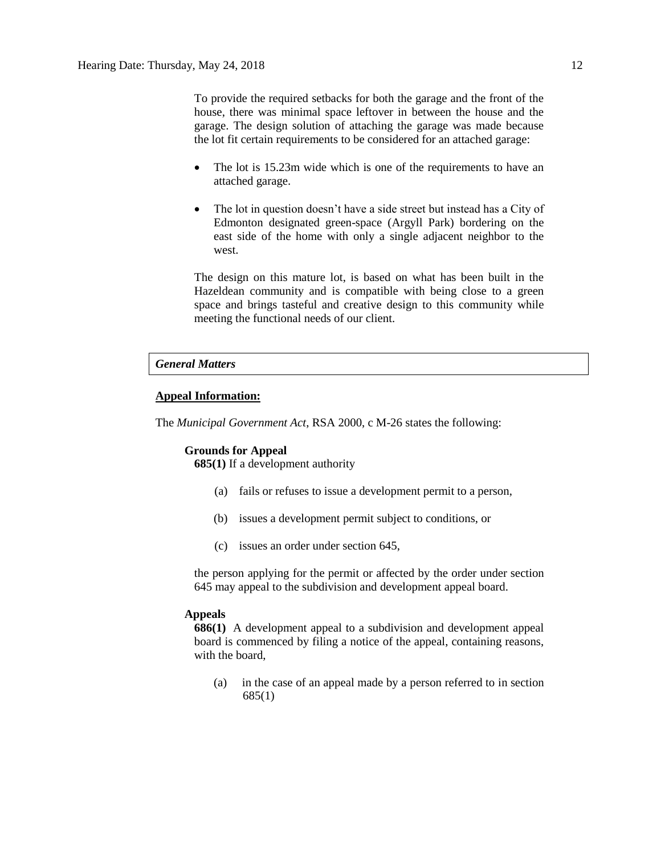To provide the required setbacks for both the garage and the front of the house, there was minimal space leftover in between the house and the garage. The design solution of attaching the garage was made because the lot fit certain requirements to be considered for an attached garage:

- The lot is 15.23m wide which is one of the requirements to have an attached garage.
- The lot in question doesn't have a side street but instead has a City of Edmonton designated green-space (Argyll Park) bordering on the east side of the home with only a single adjacent neighbor to the west.

The design on this mature lot, is based on what has been built in the Hazeldean community and is compatible with being close to a green space and brings tasteful and creative design to this community while meeting the functional needs of our client.

# *General Matters*

# **Appeal Information:**

The *Municipal Government Act*, RSA 2000, c M-26 states the following:

### **Grounds for Appeal**

**685(1)** If a development authority

- (a) fails or refuses to issue a development permit to a person,
- (b) issues a development permit subject to conditions, or
- (c) issues an order under section 645,

the person applying for the permit or affected by the order under section 645 may appeal to the subdivision and development appeal board.

### **Appeals**

**686(1)** A development appeal to a subdivision and development appeal board is commenced by filing a notice of the appeal, containing reasons, with the board,

(a) in the case of an appeal made by a person referred to in section 685(1)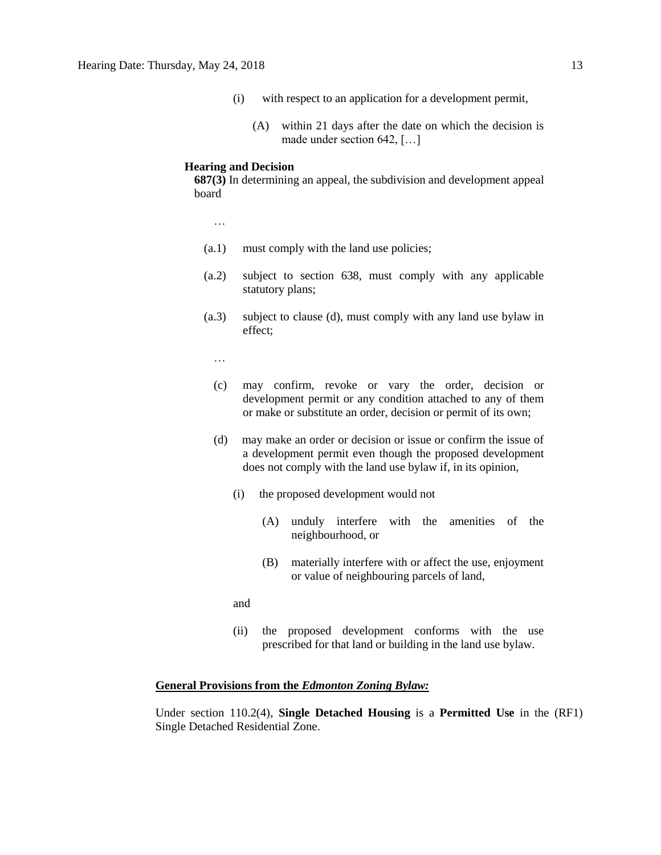- (i) with respect to an application for a development permit,
	- (A) within 21 days after the date on which the decision is made under section 642, […]

### **Hearing and Decision**

**687(3)** In determining an appeal, the subdivision and development appeal board

…

- (a.1) must comply with the land use policies;
- (a.2) subject to section 638, must comply with any applicable statutory plans;
- (a.3) subject to clause (d), must comply with any land use bylaw in effect;

…

- (c) may confirm, revoke or vary the order, decision or development permit or any condition attached to any of them or make or substitute an order, decision or permit of its own;
- (d) may make an order or decision or issue or confirm the issue of a development permit even though the proposed development does not comply with the land use bylaw if, in its opinion,
	- (i) the proposed development would not
		- (A) unduly interfere with the amenities of the neighbourhood, or
		- (B) materially interfere with or affect the use, enjoyment or value of neighbouring parcels of land,

and

(ii) the proposed development conforms with the use prescribed for that land or building in the land use bylaw.

# **General Provisions from the** *Edmonton Zoning Bylaw:*

Under section 110.2(4), **Single Detached Housing** is a **Permitted Use** in the (RF1) Single Detached Residential Zone.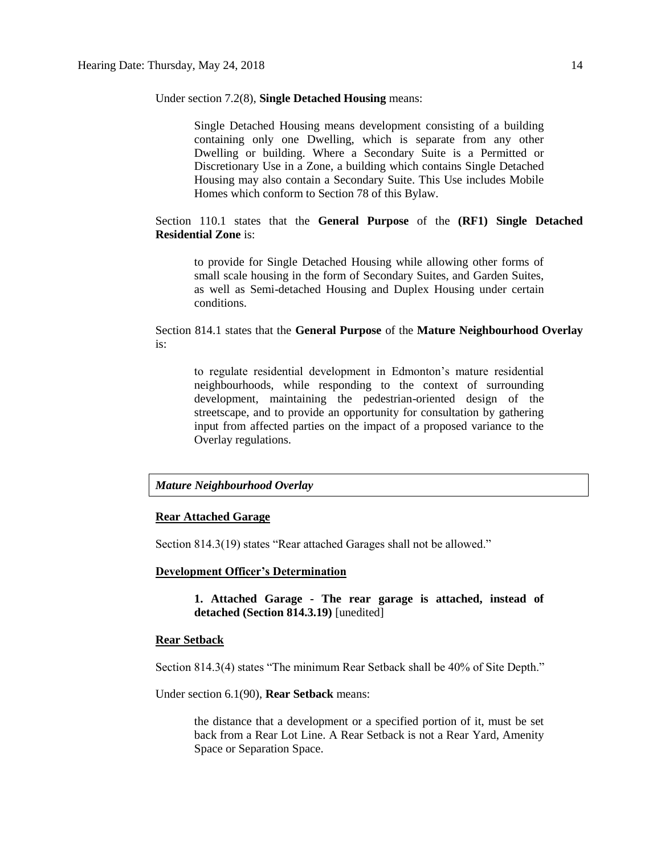Under section 7.2(8), **Single Detached Housing** means:

Single Detached Housing means development consisting of a building containing only one Dwelling, which is separate from any other Dwelling or building. Where a Secondary Suite is a Permitted or Discretionary Use in a Zone, a building which contains Single Detached Housing may also contain a Secondary Suite. This Use includes Mobile Homes which conform to Section 78 of this Bylaw.

# Section 110.1 states that the **General Purpose** of the **(RF1) Single Detached Residential Zone** is:

to provide for Single Detached Housing while allowing other forms of small scale housing in the form of Secondary Suites, and Garden Suites, as well as Semi-detached Housing and Duplex Housing under certain conditions.

## Section 814.1 states that the **General Purpose** of the **Mature Neighbourhood Overlay** is:

to regulate residential development in Edmonton's mature residential neighbourhoods, while responding to the context of surrounding development, maintaining the pedestrian-oriented design of the streetscape, and to provide an opportunity for consultation by gathering input from affected parties on the impact of a proposed variance to the Overlay regulations.

### *Mature Neighbourhood Overlay*

### **Rear Attached Garage**

Section 814.3(19) states "Rear attached Garages shall not be allowed."

## **Development Officer's Determination**

**1. Attached Garage - The rear garage is attached, instead of detached (Section 814.3.19)** [unedited]

### **Rear Setback**

Section 814.3(4) states "The minimum Rear Setback shall be 40% of Site Depth."

Under section 6.1(90), **Rear Setback** means:

the distance that a development or a specified portion of it, must be set back from a Rear Lot Line. A Rear Setback is not a Rear Yard, Amenity Space or Separation Space.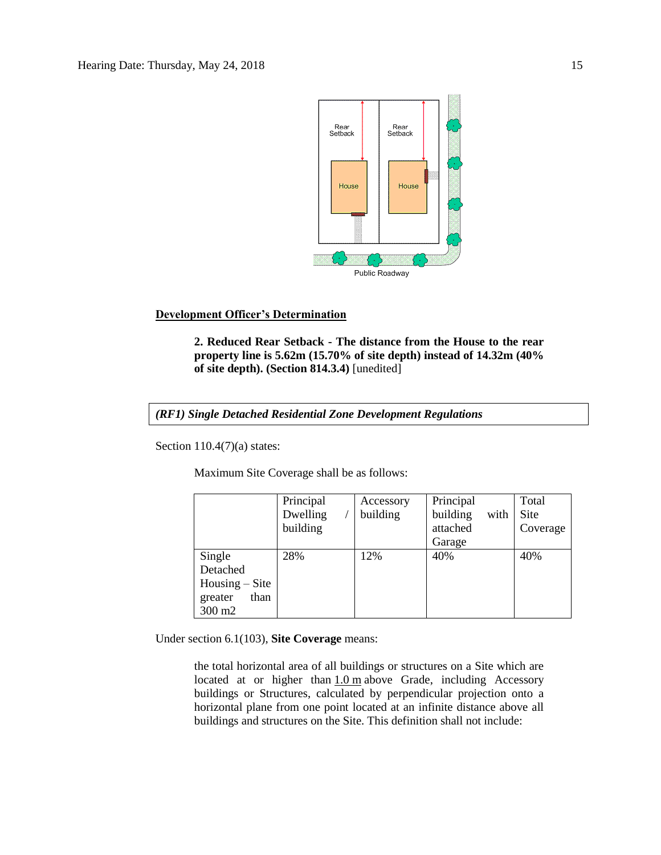

# **Development Officer's Determination**

**2. Reduced Rear Setback - The distance from the House to the rear property line is 5.62m (15.70% of site depth) instead of 14.32m (40% of site depth). (Section 814.3.4)** [unedited]

*(RF1) Single Detached Residential Zone Development Regulations*

Section 110.4(7)(a) states:

Maximum Site Coverage shall be as follows:

|                                 | Principal | Accessory | Principal        | Total    |
|---------------------------------|-----------|-----------|------------------|----------|
|                                 | Dwelling  | building  | building<br>with | Site     |
|                                 | building  |           | attached         | Coverage |
|                                 |           |           | Garage           |          |
| Single                          | 28%       | 12%       | 40%              | 40%      |
| Detached                        |           |           |                  |          |
| $H \text{ousing} - \text{Site}$ |           |           |                  |          |
| than<br>greater                 |           |           |                  |          |
| 300 m2                          |           |           |                  |          |

Under section 6.1(103), **Site Coverage** means:

the total horizontal area of all buildings or structures on a Site which are located at or higher than  $1.0$  m above Grade, including Accessory buildings or Structures, calculated by perpendicular projection onto a horizontal plane from one point located at an infinite distance above all buildings and structures on the Site. This definition shall not include: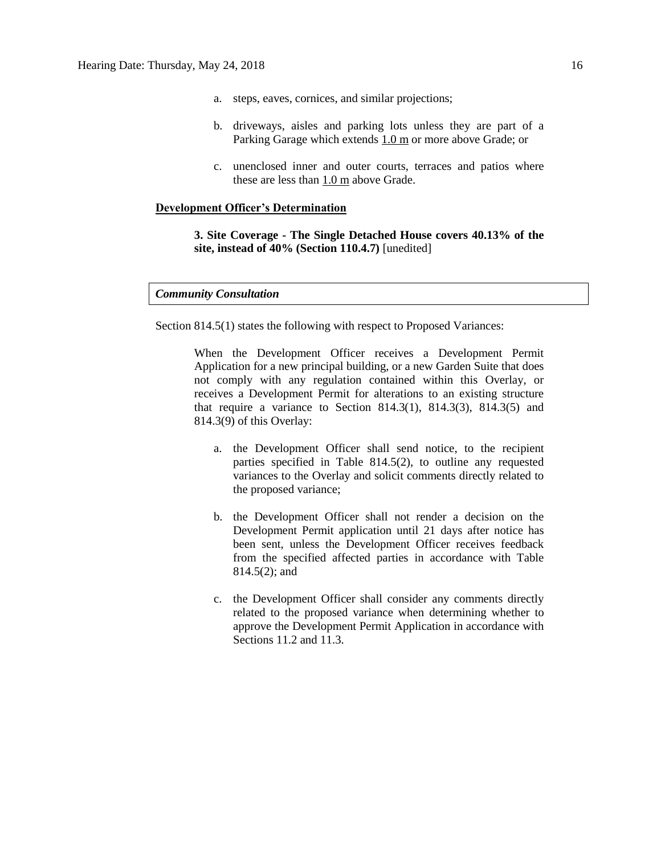- a. steps, eaves, cornices, and similar projections;
- b. driveways, aisles and parking lots unless they are part of a Parking Garage which extends [1.0](javascript:void(0);) m or more above Grade; or
- c. unenclosed inner and outer courts, terraces and patios where these are less than [1.0](javascript:void(0);) m above Grade.

## **Development Officer's Determination**

**3. Site Coverage - The Single Detached House covers 40.13% of the site, instead of 40% (Section 110.4.7)** [unedited]

### *Community Consultation*

Section 814.5(1) states the following with respect to Proposed Variances:

When the Development Officer receives a Development Permit Application for a new principal building, or a new Garden Suite that does not comply with any regulation contained within this Overlay, or receives a Development Permit for alterations to an existing structure that require a variance to Section 814.3(1), 814.3(3), 814.3(5) and 814.3(9) of this Overlay:

- a. the Development Officer shall send notice, to the recipient parties specified in Table 814.5(2), to outline any requested variances to the Overlay and solicit comments directly related to the proposed variance;
- b. the Development Officer shall not render a decision on the Development Permit application until 21 days after notice has been sent, unless the Development Officer receives feedback from the specified affected parties in accordance with Table 814.5(2); and
- c. the Development Officer shall consider any comments directly related to the proposed variance when determining whether to approve the Development Permit Application in accordance with Sections 11.2 and 11.3.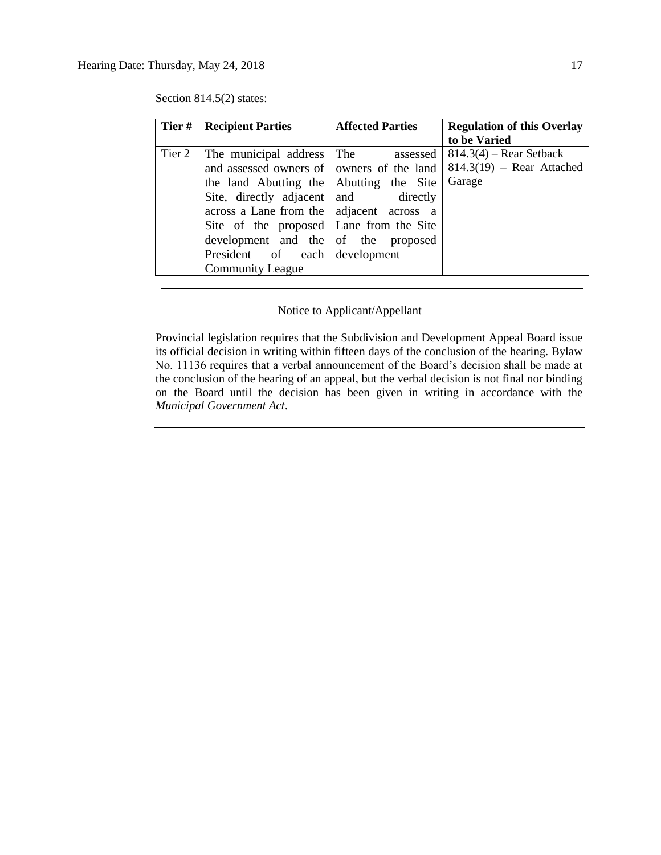| Tier#  | <b>Recipient Parties</b>                                                                                                                                                                                                                           | <b>Affected Parties</b> | <b>Regulation of this Overlay</b><br>to be Varied        |
|--------|----------------------------------------------------------------------------------------------------------------------------------------------------------------------------------------------------------------------------------------------------|-------------------------|----------------------------------------------------------|
| Tier 2 | The municipal address   The assessed<br>and assessed owners of   owners of the land                                                                                                                                                                |                         | $814.3(4)$ – Rear Setback<br>$814.3(19)$ – Rear Attached |
|        | the land Abutting the Abutting the Site<br>Site, directly adjacent and directly<br>across a Lane from the   adjacent across a<br>Site of the proposed   Lane from the Site<br>development and the of the proposed<br>President of each development |                         | Garage                                                   |
|        | <b>Community League</b>                                                                                                                                                                                                                            |                         |                                                          |

Section 814.5(2) states:

# Notice to Applicant/Appellant

Provincial legislation requires that the Subdivision and Development Appeal Board issue its official decision in writing within fifteen days of the conclusion of the hearing. Bylaw No. 11136 requires that a verbal announcement of the Board's decision shall be made at the conclusion of the hearing of an appeal, but the verbal decision is not final nor binding on the Board until the decision has been given in writing in accordance with the *Municipal Government Act*.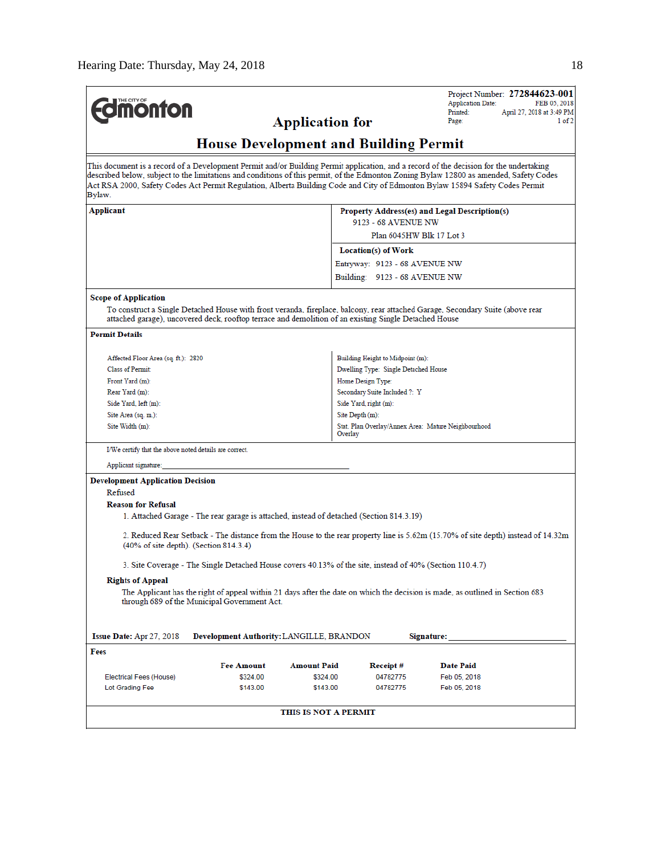| THE CITY OF<br><b>monton</b>                                                                                                         |                                                                                                          | <b>Application for</b> |                                                                | Project Number: 272844623-001<br><b>Application Date:</b><br>FEB 05, 2018<br>Printed:<br>April 27, 2018 at 3:49 PM<br>Page:<br>1 of 2                                                                                                                                                                                                                                                                            |  |  |  |
|--------------------------------------------------------------------------------------------------------------------------------------|----------------------------------------------------------------------------------------------------------|------------------------|----------------------------------------------------------------|------------------------------------------------------------------------------------------------------------------------------------------------------------------------------------------------------------------------------------------------------------------------------------------------------------------------------------------------------------------------------------------------------------------|--|--|--|
| <b>House Development and Building Permit</b>                                                                                         |                                                                                                          |                        |                                                                |                                                                                                                                                                                                                                                                                                                                                                                                                  |  |  |  |
| Bylaw.                                                                                                                               |                                                                                                          |                        |                                                                | This document is a record of a Development Permit and/or Building Permit application, and a record of the decision for the undertaking<br>described below, subject to the limitations and conditions of this permit, of the Edmonton Zoning Bylaw 12800 as amended, Safety Codes<br>Act RSA 2000, Safety Codes Act Permit Regulation, Alberta Building Code and City of Edmonton Bylaw 15894 Safety Codes Permit |  |  |  |
| Applicant<br>Property Address(es) and Legal Description(s)                                                                           |                                                                                                          |                        |                                                                |                                                                                                                                                                                                                                                                                                                                                                                                                  |  |  |  |
|                                                                                                                                      |                                                                                                          |                        | 9123 - 68 AVENUE NW<br>Plan 6045HW Blk 17 Lot 3                |                                                                                                                                                                                                                                                                                                                                                                                                                  |  |  |  |
|                                                                                                                                      |                                                                                                          |                        |                                                                |                                                                                                                                                                                                                                                                                                                                                                                                                  |  |  |  |
|                                                                                                                                      |                                                                                                          |                        | Location(s) of Work                                            |                                                                                                                                                                                                                                                                                                                                                                                                                  |  |  |  |
|                                                                                                                                      |                                                                                                          |                        | Entryway: 9123 - 68 AVENUE NW<br>Building: 9123 - 68 AVENUE NW |                                                                                                                                                                                                                                                                                                                                                                                                                  |  |  |  |
|                                                                                                                                      |                                                                                                          |                        |                                                                |                                                                                                                                                                                                                                                                                                                                                                                                                  |  |  |  |
| <b>Scope of Application</b><br>attached garage), uncovered deck, rooftop terrace and demolition of an existing Single Detached House |                                                                                                          |                        |                                                                | To construct a Single Detached House with front veranda, fireplace, balcony, rear attached Garage, Secondary Suite (above rear                                                                                                                                                                                                                                                                                   |  |  |  |
| <b>Permit Details</b>                                                                                                                |                                                                                                          |                        |                                                                |                                                                                                                                                                                                                                                                                                                                                                                                                  |  |  |  |
| Affected Floor Area (sq. ft.): 2820                                                                                                  |                                                                                                          |                        | Building Height to Midpoint (m):                               |                                                                                                                                                                                                                                                                                                                                                                                                                  |  |  |  |
| <b>Class of Permit:</b>                                                                                                              |                                                                                                          |                        |                                                                |                                                                                                                                                                                                                                                                                                                                                                                                                  |  |  |  |
| Front Yard (m):                                                                                                                      |                                                                                                          |                        | Dwelling Type: Single Detached House<br>Home Design Type:      |                                                                                                                                                                                                                                                                                                                                                                                                                  |  |  |  |
| Rear Yard (m):                                                                                                                       |                                                                                                          |                        | Secondary Suite Included ?: Y                                  |                                                                                                                                                                                                                                                                                                                                                                                                                  |  |  |  |
| Side Yard, left (m):                                                                                                                 |                                                                                                          |                        | Side Yard, right (m):                                          |                                                                                                                                                                                                                                                                                                                                                                                                                  |  |  |  |
| Site Depth (m):<br>Site Area (sq. m.):                                                                                               |                                                                                                          |                        |                                                                |                                                                                                                                                                                                                                                                                                                                                                                                                  |  |  |  |
| Site Width (m):                                                                                                                      |                                                                                                          |                        | Stat. Plan Overlay/Annex Area: Mature Neighbourhood<br>Overlay |                                                                                                                                                                                                                                                                                                                                                                                                                  |  |  |  |
| I/We certify that the above noted details are correct.                                                                               |                                                                                                          |                        |                                                                |                                                                                                                                                                                                                                                                                                                                                                                                                  |  |  |  |
| Applicant signature:                                                                                                                 |                                                                                                          |                        |                                                                |                                                                                                                                                                                                                                                                                                                                                                                                                  |  |  |  |
| <b>Development Application Decision</b>                                                                                              |                                                                                                          |                        |                                                                |                                                                                                                                                                                                                                                                                                                                                                                                                  |  |  |  |
| Refused                                                                                                                              |                                                                                                          |                        |                                                                |                                                                                                                                                                                                                                                                                                                                                                                                                  |  |  |  |
| <b>Reason for Refusal</b>                                                                                                            |                                                                                                          |                        |                                                                |                                                                                                                                                                                                                                                                                                                                                                                                                  |  |  |  |
|                                                                                                                                      | 1. Attached Garage - The rear garage is attached, instead of detached (Section 814.3.19)                 |                        |                                                                |                                                                                                                                                                                                                                                                                                                                                                                                                  |  |  |  |
| $(40\% \text{ of site depth})$ . (Section 814.3.4)                                                                                   |                                                                                                          |                        |                                                                | 2. Reduced Rear Setback - The distance from the House to the rear property line is 5.62m (15.70% of site depth) instead of 14.32m                                                                                                                                                                                                                                                                                |  |  |  |
|                                                                                                                                      | 3. Site Coverage - The Single Detached House covers 40.13% of the site, instead of 40% (Section 110.4.7) |                        |                                                                |                                                                                                                                                                                                                                                                                                                                                                                                                  |  |  |  |
| <b>Rights of Appeal</b>                                                                                                              | through 689 of the Municipal Government Act.                                                             |                        |                                                                | The Applicant has the right of appeal within 21 days after the date on which the decision is made, as outlined in Section 683                                                                                                                                                                                                                                                                                    |  |  |  |
|                                                                                                                                      |                                                                                                          |                        |                                                                |                                                                                                                                                                                                                                                                                                                                                                                                                  |  |  |  |
| Issue Date: Apr 27, 2018<br>Development Authority: LANGILLE, BRANDON<br>Signature:                                                   |                                                                                                          |                        |                                                                |                                                                                                                                                                                                                                                                                                                                                                                                                  |  |  |  |
| Fees                                                                                                                                 |                                                                                                          |                        |                                                                |                                                                                                                                                                                                                                                                                                                                                                                                                  |  |  |  |
|                                                                                                                                      | <b>Fee Amount</b>                                                                                        | <b>Amount Paid</b>     | Receipt #                                                      | Date Paid                                                                                                                                                                                                                                                                                                                                                                                                        |  |  |  |
| Electrical Fees (House)                                                                                                              | \$324.00                                                                                                 | \$324.00               | 04782775                                                       | Feb 05, 2018                                                                                                                                                                                                                                                                                                                                                                                                     |  |  |  |
| Lot Grading Fee                                                                                                                      | \$143.00                                                                                                 | \$143.00               | 04782775                                                       | Feb 05, 2018                                                                                                                                                                                                                                                                                                                                                                                                     |  |  |  |
|                                                                                                                                      |                                                                                                          | THIS IS NOT A PERMIT   |                                                                |                                                                                                                                                                                                                                                                                                                                                                                                                  |  |  |  |
|                                                                                                                                      |                                                                                                          |                        |                                                                |                                                                                                                                                                                                                                                                                                                                                                                                                  |  |  |  |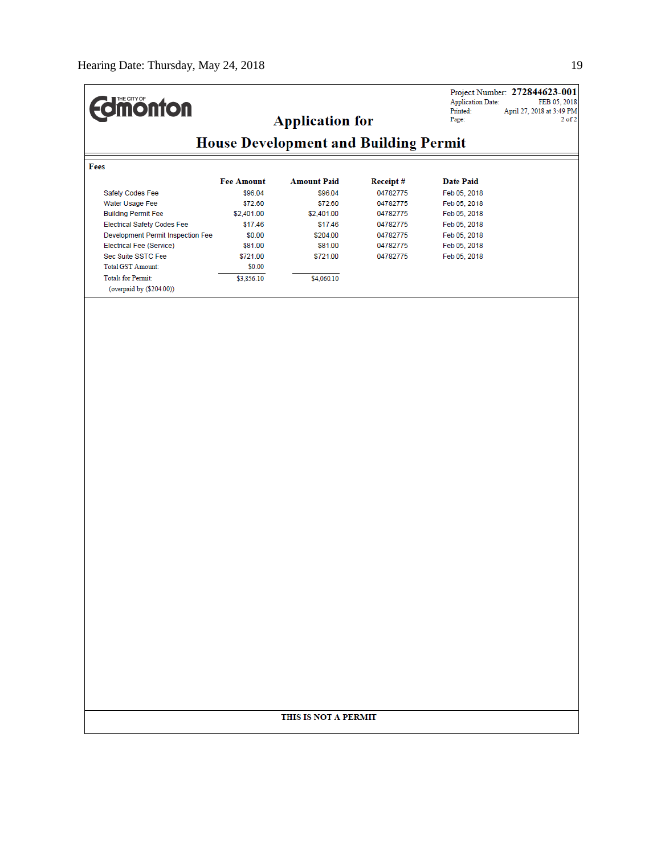|                                                                  |                       |                                              |                      | <b>Application Date:</b>     | Project Number: 272844623-001<br>FEB 05, 2018 |  |
|------------------------------------------------------------------|-----------------------|----------------------------------------------|----------------------|------------------------------|-----------------------------------------------|--|
| <b>Imonton</b>                                                   |                       | <b>Application for</b>                       |                      | Printed:<br>Page:            | April 27, 2018 at 3:49 PM<br>$2$ of $2$       |  |
|                                                                  |                       |                                              |                      |                              |                                               |  |
|                                                                  |                       | <b>House Development and Building Permit</b> |                      |                              |                                               |  |
| Fees                                                             |                       |                                              |                      |                              |                                               |  |
|                                                                  | <b>Fee Amount</b>     | <b>Amount Paid</b>                           | Receipt#             | <b>Date Paid</b>             |                                               |  |
| Safety Codes Fee                                                 | \$96.04               | \$96.04                                      | 04782775             | Feb 05, 2018                 |                                               |  |
| Water Usage Fee                                                  | \$72.60               | \$72.60                                      | 04782775             | Feb 05, 2018                 |                                               |  |
| <b>Building Permit Fee</b><br><b>Electrical Safety Codes Fee</b> | \$2,401.00<br>\$17.46 | \$2,401.00<br>\$17.46                        | 04782775<br>04782775 | Feb 05, 2018                 |                                               |  |
| Development Permit Inspection Fee                                | \$0.00                | \$204.00                                     | 04782775             | Feb 05, 2018<br>Feb 05, 2018 |                                               |  |
| Electrical Fee (Service)                                         | \$81.00               | \$81.00                                      | 04782775             | Feb 05, 2018                 |                                               |  |
| Sec Suite SSTC Fee                                               | \$721.00              | \$721.00                                     | 04782775             | Feb 05, 2018                 |                                               |  |
| <b>Total GST Amount:</b>                                         | \$0.00                |                                              |                      |                              |                                               |  |
| <b>Totals for Permit:</b>                                        | \$3,856.10            | \$4,060.10                                   |                      |                              |                                               |  |
| (overpaid by (\$204.00))                                         |                       |                                              |                      |                              |                                               |  |
|                                                                  |                       |                                              |                      |                              |                                               |  |
|                                                                  |                       |                                              |                      |                              |                                               |  |
|                                                                  |                       |                                              |                      |                              |                                               |  |
|                                                                  |                       |                                              |                      |                              |                                               |  |
|                                                                  |                       |                                              |                      |                              |                                               |  |
|                                                                  |                       |                                              |                      |                              |                                               |  |
|                                                                  |                       |                                              |                      |                              |                                               |  |
|                                                                  |                       |                                              |                      |                              |                                               |  |
|                                                                  |                       |                                              |                      |                              |                                               |  |
|                                                                  |                       |                                              |                      |                              |                                               |  |
|                                                                  |                       |                                              |                      |                              |                                               |  |
|                                                                  |                       |                                              |                      |                              |                                               |  |
|                                                                  |                       |                                              |                      |                              |                                               |  |
|                                                                  |                       |                                              |                      |                              |                                               |  |
|                                                                  |                       |                                              |                      |                              |                                               |  |
|                                                                  |                       |                                              |                      |                              |                                               |  |
|                                                                  |                       |                                              |                      |                              |                                               |  |
|                                                                  |                       |                                              |                      |                              |                                               |  |
|                                                                  |                       |                                              |                      |                              |                                               |  |
|                                                                  |                       |                                              |                      |                              |                                               |  |
|                                                                  |                       |                                              |                      |                              |                                               |  |
|                                                                  |                       |                                              |                      |                              |                                               |  |
|                                                                  |                       |                                              |                      |                              |                                               |  |
|                                                                  |                       |                                              |                      |                              |                                               |  |
|                                                                  |                       |                                              |                      |                              |                                               |  |
|                                                                  |                       |                                              |                      |                              |                                               |  |
|                                                                  |                       |                                              |                      |                              |                                               |  |
|                                                                  |                       |                                              |                      |                              |                                               |  |
|                                                                  |                       |                                              |                      |                              |                                               |  |
|                                                                  |                       |                                              |                      |                              |                                               |  |
|                                                                  |                       |                                              |                      |                              |                                               |  |
|                                                                  |                       |                                              |                      |                              |                                               |  |
| THIS IS NOT A PERMIT                                             |                       |                                              |                      |                              |                                               |  |